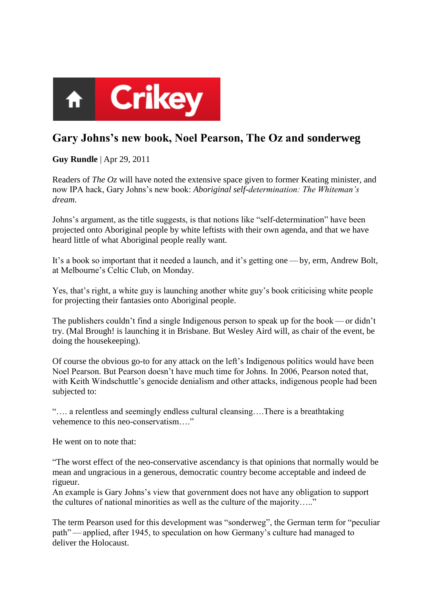

## **Gary Johns's new book, Noel Pearson, The Oz and sonderweg**

**Guy Rundle** | Apr 29, 2011

Readers of *The Oz* will have noted the extensive space given to former Keating minister, and now IPA hack, Gary Johns's new book: *Aboriginal self-determination: The Whiteman's dream*.

Johns's argument, as the title suggests, is that notions like "self-determination" have been projected onto Aboriginal people by white leftists with their own agenda, and that we have heard little of what Aboriginal people really want.

It's a book so important that it needed a launch, and it's getting one— by, erm, Andrew Bolt, at Melbourne's Celtic Club, on Monday.

Yes, that's right, a white guy is launching another white guy's book criticising white people for projecting their fantasies onto Aboriginal people.

The publishers couldn't find a single Indigenous person to speak up for the book — or didn't try. (Mal Brough! is launching it in Brisbane. But Wesley Aird will, as chair of the event, be doing the housekeeping).

Of course the obvious go-to for any attack on the left's Indigenous politics would have been Noel Pearson. But Pearson doesn't have much time for Johns. In 2006, Pearson noted that, with Keith Windschuttle's genocide denialism and other attacks, indigenous people had been subjected to:

―…. a relentless and seemingly endless cultural cleansing….There is a breathtaking vehemence to this neo-conservatism…."

He went on to note that:

―The worst effect of the neo-conservative ascendancy is that opinions that normally would be mean and ungracious in a generous, democratic country become acceptable and indeed de rigueur.

An example is Gary Johns's view that government does not have any obligation to support the cultures of national minorities as well as the culture of the majority....."

The term Pearson used for this development was "sonderweg", the German term for "peculiar path"—applied, after 1945, to speculation on how Germany's culture had managed to deliver the Holocaust.